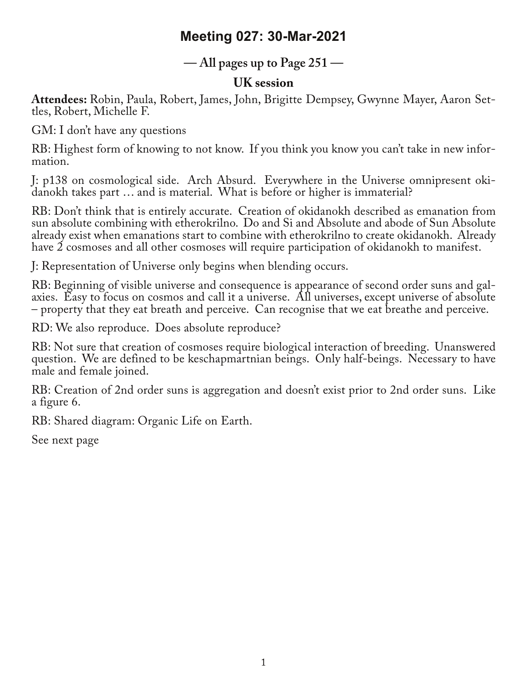# **Meeting 027: 30-Mar-2021**

### **— All pages up to Page 251 —**

### **UK session**

**Attendees:** Robin, Paula, Robert, James, John, Brigitte Dempsey, Gwynne Mayer, Aaron Set‐ tles, Robert, Michelle F.

GM: I don't have any questions

RB: Highest form of knowing to not know. If you think you know you can't take in new infor‐ mation.

J: p138 on cosmological side. Arch Absurd. Everywhere in the Universe omnipresent oki-<br>danokh takes part … and is material. What is before or higher is immaterial?

RB: Don't think that is entirely accurate. Creation of okidanokh described as emanation from sun absolute combining with etherokrilno. Do and Si and Absolute and abode of Sun Absolute already exist when emanations start to combine with etherokrilno to create okidanokh. Already have 2 cosmoses and all other cosmoses will require participation of okidanokh to manifest.

J: Representation of Universe only begins when blending occurs.

RB: Beginning of visible universe and consequence is appearance of second order suns and galaxies. Easy to focus on cosmos and call it a universe. All universes, except universe of absolute – property that they eat breath and perceive. Can recognise that we eat breathe and perceive.

RD: We also reproduce. Does absolute reproduce?

RB: Not sure that creation of cosmoses require biological interaction of breeding. Unanswered question. We are defined to be keschapmartnian beings. Only half-beings. Necessary to have male and female joined.

RB: Creation of 2nd order suns is aggregation and doesn't exist prior to 2nd order suns. Like a figure 6.

RB: Shared diagram: Organic Life on Earth.

See next page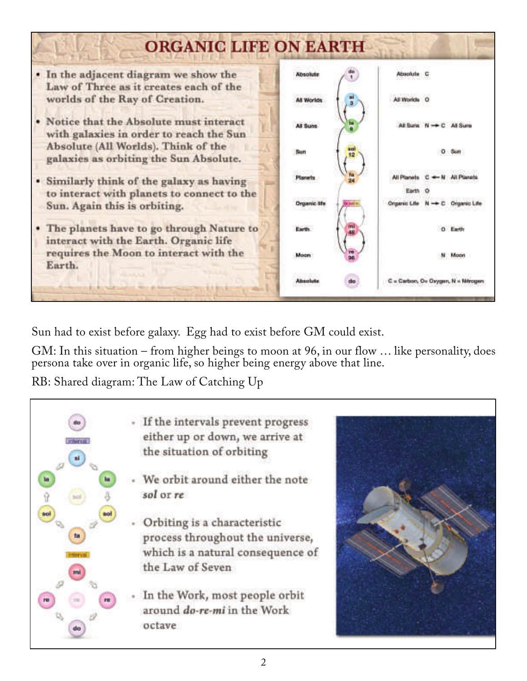

Sun had to exist before galaxy. Egg had to exist before GM could exist.

GM: In this situation – from higher beings to moon at 96, in our flow … like personality, does persona take over in organic life, so higher being energy above that line.

RB: Shared diagram: The Law of Catching Up

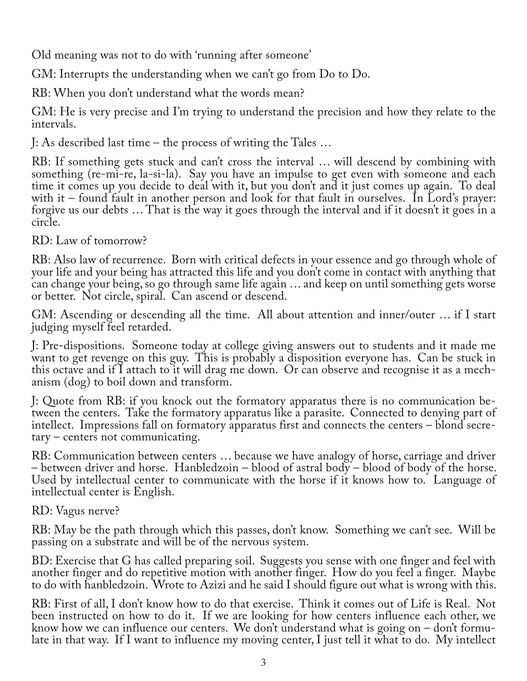Old meaning was not to do with 'running after someone'

GM: Interrupts the understanding when we can't go from Do to Do.

RB: When you don't understand what the words mean?

GM: He is very precise and I'm trying to understand the precision and how they relate to the intervals.

J: As described last time – the process of writing the Tales …

RB: If something gets stuck and can't cross the interval … will descend by combining with something (re-mi-re, la-si-la). Say you have an impulse to get even with someone and each time it comes up you decide to deal with it, but you don't and it just comes up again. To deal with it – found fault in another person and look for that fault in ourselves. In Lord's prayer: forgive us our debts ... That is the way it goes through the interval and if it doesn't it goes in a circle.

#### RD: Law of tomorrow?

RB: Also law of recurrence. Born with critical defects in your essence and go through whole of your life and your being has attracted this life and you don't come in contact with anything that can change your being, so go through same life again … and keep on until something gets worse or better. Not circle, spiral. Can ascend or descend.

GM: Ascending or descending all the time. All about attention and inner/outer … if I start judging myself feel retarded.

J: Pre-dispositions. Someone today at college giving answers out to students and it made me want to get revenge on this guy. This is probably a disposition everyone has. Can be stuck in this octave and if I attach to it will drag me down. Or can observe and recognise it as a mech‐ anism (dog) to boil down and transform.

J: Quote from RB: if you knock out the formatory apparatus there is no communication be‐ tween the centers. Take the formatory apparatus like a parasite. Connected to denying part of intellect. Impressions fall on formatory apparatus first and connects the centers – blond secretary – centers not communicating.

RB: Communication between centers … because we have analogy of horse, carriage and driver – between driver and horse. Hanbledzoin – blood of astral body – blood of body of the horse. Used by intellectual center to communicate with the horse if it knows how to. Language of intellectual center is English.

RD: Vagus nerve?

RB: May be the path through which this passes, don't know. Something we can't see. Will be passing on a substrate and will be of the nervous system.

BD: Exercise that G has called preparing soil. Suggests you sense with one finger and feel with another finger and do repetitive motion with another finger. How do you feel a finger. Maybe to do with hanbledzoin. Wrote to Azizi and he said I should figure out what is wrong with this.

RB: First of all, I don't know how to do that exercise. Think it comes out of Life is Real. Not been instructed on how to do it. If we are looking for how centers influence each other, we<br>know how we can influence our centers. We don't understand what is going on – don't formulate in that way. If I want to influence my moving center, I just tell it what to do. My intellect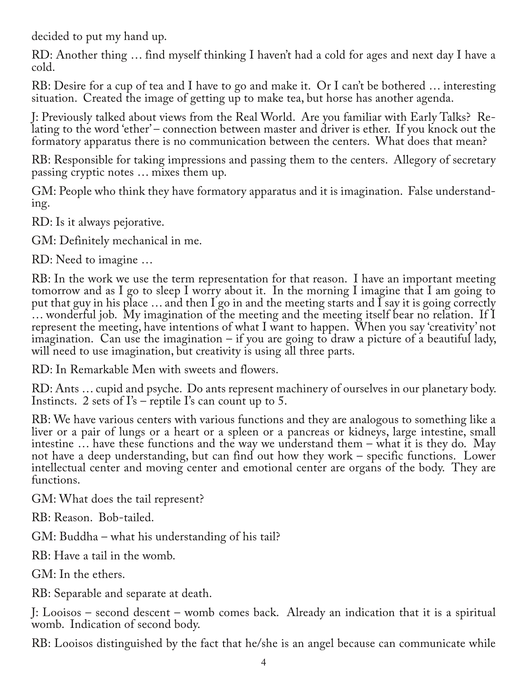decided to put my hand up.

RD: Another thing … find myself thinking I haven't had a cold for ages and next day I have a cold.

RB: Desire for a cup of tea and I have to go and make it. Or I can't be bothered … interesting situation. Created the image of getting up to make tea, but horse has another agenda.

J: Previously talked about views from the Real World. Are you familiar with Early Talks? Re‐ lating to the word 'ether' – connection between master and driver is ether. If you knock out the formatory apparatus there is no communication between the centers. What does that mean?

RB: Responsible for taking impressions and passing them to the centers. Allegory of secretary passing cryptic notes … mixes them up.

GM: People who think they have formatory apparatus and it is imagination. False understanding.

RD: Is it always pejorative.

GM: Definitely mechanical in me.

RD: Need to imagine …

RB: In the work we use the term representation for that reason. I have an important meeting tomorrow and as I go to sleep I worry about it. In the morning I imagine that I am going to put that guy in his place  $\ldots$  and then I go in and the meeting starts and I say it is going correctly … wonderful job. My imagination of the meeting and the meeting itself bear no relation. If I represent the meeting, have intentions of what I want to happen. When you say 'creativity' not imagination. Can use the imagination – if you are going to draw a picture of a beautiful lady, will need to use imagination, but creativity is using all three parts.

RD: In Remarkable Men with sweets and flowers.

RD: Ants … cupid and psyche. Do ants represent machinery of ourselves in our planetary body. Instincts. 2 sets of I's – reptile I's can count up to 5.

RB: We have various centers with various functions and they are analogous to something like a liver or a pair of lungs or a heart or a spleen or a pancreas or kidneys, large intestine, small intestine … have these functions and the way we understand them – what it is they do. May not have a deep understanding, but can find out how they work – specific functions. Lower intellectual center and moving center and emotional center are organs of the body. They are functions.

GM: What does the tail represent?

RB: Reason. Bob-tailed.

GM: Buddha – what his understanding of his tail?

RB: Have a tail in the womb.

GM: In the ethers.

RB: Separable and separate at death.

J: Looisos – second descent – womb comes back. Already an indication that it is a spiritual womb. Indication of second body.

RB: Looisos distinguished by the fact that he/she is an angel because can communicate while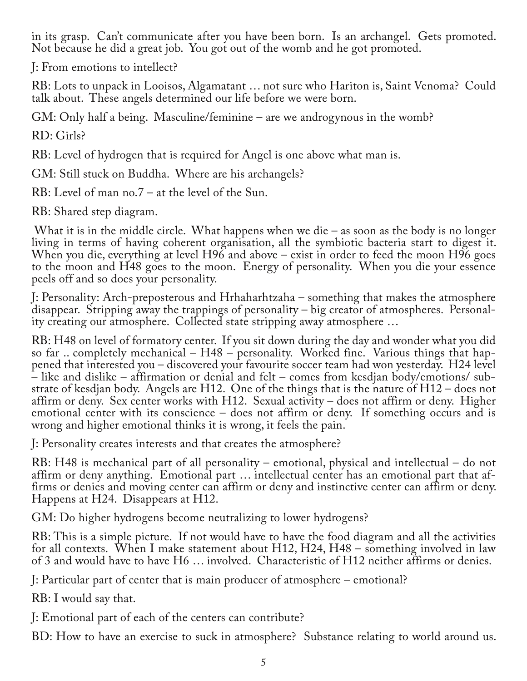in its grasp. Can't communicate after you have been born. Is an archangel. Gets promoted. Not because he did a great job. You got out of the womb and he got promoted.

J: From emotions to intellect?

RB: Lots to unpack in Looisos, Algamatant … not sure who Hariton is, Saint Venoma? Could talk about. These angels determined our life before we were born.

GM: Only half a being. Masculine/feminine – are we androgynous in the womb?

RD: Girls?

RB: Level of hydrogen that is required for Angel is one above what man is.

GM: Still stuck on Buddha. Where are his archangels?

RB: Level of man no.7 – at the level of the Sun.

RB: Shared step diagram.

What it is in the middle circle. What happens when we die  $-$  as soon as the body is no longer living in terms of having coherent organisation, all the symbiotic bacteria start to digest it. When you die, everything at level  $H96$  and above – exist in order to feed the moon  $H96$  goes to the moon and H48 goes to the moon. Energy of personality. When you die your essence peels off and so does your personality.

J: Personality: Arch-preposterous and Hrhaharhtzaha – something that makes the atmosphere disappear. Stripping away the trappings of personality – big creator of atmospheres. Personality creating our atmosphere. Collected state stripping away atmosphere …

RB: H48 on level of formatory center. If you sit down during the day and wonder what you did so far .. completely mechanical – H48 – personality. Worked fine. Various things that happened that interested you – discovered your favourite soccer team had won yesterday. H24 level – like and dislike – affirmation or denial and felt – comes from kesdjan body/emotions/ sub‐ strate of kesdjan body. Angels are H12. One of the things that is the nature of H12 – does not affirm or deny. Sex center works with H12. Sexual activity – does not affirm or deny. Higher emotional center with its conscience – does not affirm or deny. If something occurs and is wrong and higher emotional thinks it is wrong, it feels the pain.

J: Personality creates interests and that creates the atmosphere?

RB: H48 is mechanical part of all personality – emotional, physical and intellectual – do not affirm or deny anything. Emotional part … intellectual center has an emotional part that af‐ firms or denies and moving center can affirm or deny and instinctive center can affirm or deny. Happens at H24. Disappears at H12.

GM: Do higher hydrogens become neutralizing to lower hydrogens?

RB: This is a simple picture. If not would have to have the food diagram and all the activities for all contexts. When I make statement about H12, H24, H48 – something involved in law of 3 and would have to have H6 … involved. Characteristic of H12 neither affirms or denies.

J: Particular part of center that is main producer of atmosphere – emotional?

RB: I would say that.

J: Emotional part of each of the centers can contribute?

BD: How to have an exercise to suck in atmosphere? Substance relating to world around us.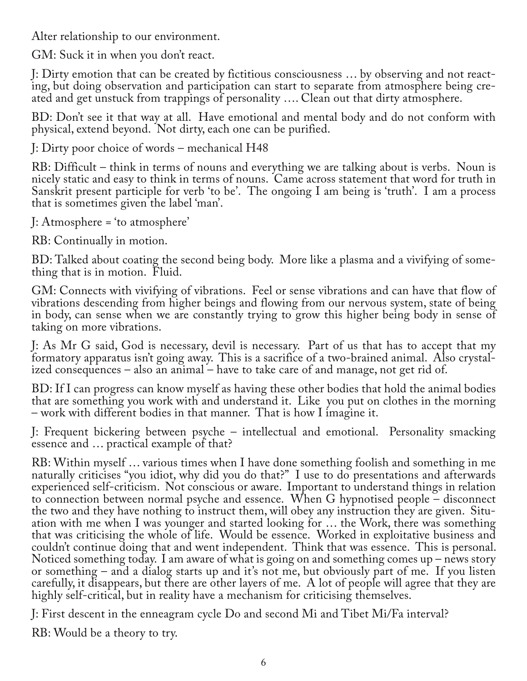Alter relationship to our environment.

GM: Suck it in when you don't react.

J: Dirty emotion that can be created by fictitious consciousness … by observing and not react‐ ing, but doing observation and participation can start to separate from atmosphere being created and get unstuck from trappings of personality …. Clean out that dirty atmosphere.

BD: Don't see it that way at all. Have emotional and mental body and do not conform with physical, extend beyond. Not dirty, each one can be purified.

J: Dirty poor choice of words – mechanical H48

RB: Difficult – think in terms of nouns and everything we are talking about is verbs. Noun is nicely static and easy to think in terms of nouns. Came across statement that word for truth in Sanskrit present participle for verb 'to be'. The ongoing I am being is 'truth'. I am a process that is sometimes given the label 'man'.

J: Atmosphere = 'to atmosphere'

RB: Continually in motion.

BD: Talked about coating the second being body. More like a plasma and a vivifying of some-<br>thing that is in motion. Fluid.

GM: Connects with vivifying of vibrations. Feel or sense vibrations and can have that flow of vibrations descending from higher beings and flowing from our nervous system, state of being in body, can sense when we are constantly trying to grow this higher being body in sense of taking on more vibrations.

J: As Mr G said, God is necessary, devil is necessary. Part of us that has to accept that my formatory apparatus isn't going away. This is a sacrifice of a two-brained animal. Also crystalized consequences – also an animal – have to take care of and manage, not get rid of.

BD: If I can progress can know myself as having these other bodies that hold the animal bodies that are something you work with and understand it. Like you put on clothes in the morning – work with different bodies in that manner. That is how I imagine it.

J: Frequent bickering between psyche – intellectual and emotional. Personality smacking essence and … practical example of that?

RB: Within myself … various times when I have done something foolish and something in me naturally criticises "you idiot, why did you do that?" I use to do presentations and afterwards experienced self-criticism. Not conscious or aware. Important to understand things in relation to connection between normal psyche and essence. When G hypnotised people  $-$  disconnect the two and they have nothing to instruct them, will obey any instruction they are given. Situation with me when I was younger and started looking for ... the Work, there was something that was criticising the whole of life. Would be essence. Worked in exploitative business and couldn't continue doing that and went independent. Think that was essence. This is personal. Noticed something today. I am aware of what is going on and something comes up – news story or something – and a dialog starts up and it's not me, but obviously part of me. If you listen carefully, it disappears, but there are other layers of me. A lot of people will agree that they are highly self-critical, but in reality have a mechanism for criticising themselves.

J: First descent in the enneagram cycle Do and second Mi and Tibet Mi/Fa interval?

RB: Would be a theory to try.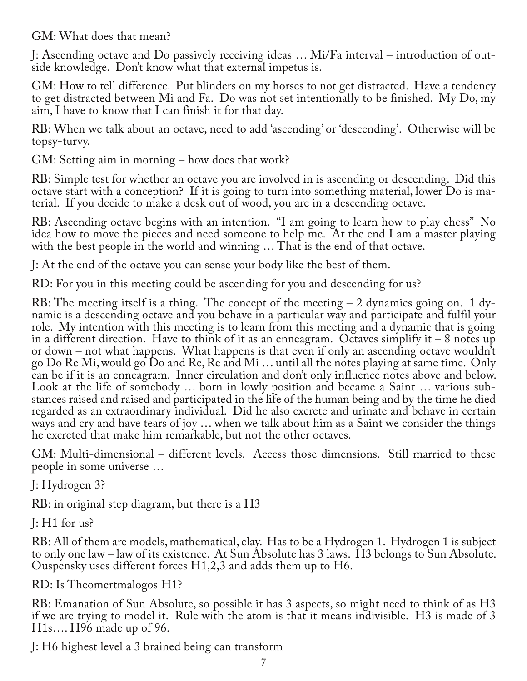GM: What does that mean?

J: Ascending octave and Do passively receiving ideas … Mi/Fa interval – introduction of out‐ side knowledge. Don't know what that external impetus is.

GM: How to tell difference. Put blinders on my horses to not get distracted. Have a tendency to get distracted between Mi and Fa. Do was not set intentionally to be finished. My Do, my aim, I have to know that I can finish it for that day.

RB: When we talk about an octave, need to add 'ascending' or 'descending'. Otherwise will be topsy-turvy.

GM: Setting aim in morning – how does that work?

RB: Simple test for whether an octave you are involved in is ascending or descending. Did this octave start with a conception? If it is going to turn into something material, lower Do is ma‐ terial. If you decide to make a desk out of wood, you are in a descending octave.

RB: Ascending octave begins with an intention. "I am going to learn how to play chess" No idea how to move the pieces and need someone to help me. At the end I am a master playing with the best people in the world and winning ... That is the end of that octave.

J: At the end of the octave you can sense your body like the best of them.

RD: For you in this meeting could be ascending for you and descending for us?

RB: The meeting itself is a thing. The concept of the meeting  $-2$  dynamics going on. 1 dynamic is a descending octave and you behave in a particular way and participate and fulfil your role. My intention with this meeting is to learn from this meeting and a dynamic that is going in a different direction. Have to think of it as an enneagram. Octaves simplify it – 8 notes up or down – not what happens. What happens is that even if only an ascending octave wouldn't go Do Re Mi, would go Do and Re, Re and Mi … until all the notes playing at same time. Only can be if it is an enneagram. Inner circulation and don't only influence notes above and below. Look at the life of somebody … born in lowly position and became a Saint … various sub‐ stances raised and raised and participated in the life of the human being and by the time he died regarded as an extraordinary individual. Did he also excrete and urinate and behave in certain ways and cry and have tears of joy … when we talk about him as a Saint we consider the things he excreted that make him remarkable, but not the other octaves.

GM: Multi-dimensional – different levels. Access those dimensions. Still married to these people in some universe …

J: Hydrogen 3?

RB: in original step diagram, but there is a H3

 $J: H1$  for us?

RB: All of them are models, mathematical, clay. Has to be a Hydrogen 1. Hydrogen 1 is subject to only one law – law of its existence. At Sun Absolute has 3 laws. H3 belongs to Sun Absolute. Ouspensky uses different forces H1,2,3 and adds them up to H6.

RD: Is Theomertmalogos H1?

RB: Emanation of Sun Absolute, so possible it has 3 aspects, so might need to think of as H3 if we are trying to model it. Rule with the atom is that it means indivisible. H3 is made of 3 H1s…. H96 made up of 96.

J: H6 highest level a 3 brained being can transform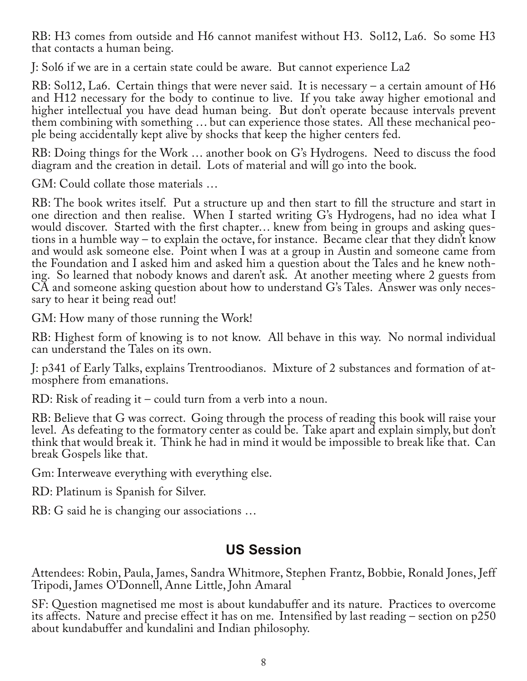RB: H3 comes from outside and H6 cannot manifest without H3. Sol12, La6. So some H3 that contacts a human being.

J: Sol6 if we are in a certain state could be aware. But cannot experience La2

RB: Sol12, La6. Certain things that were never said. It is necessary – a certain amount of H6 and H12 necessary for the body to continue to live. If you take away higher emotional and higher intellectual you have dead human being. But don't operate because intervals prevent them combining with something … but can experience those states. All these mechanical peo‐ ple being accidentally kept alive by shocks that keep the higher centers fed.

RB: Doing things for the Work … another book on G's Hydrogens. Need to discuss the food diagram and the creation in detail. Lots of material and will go into the book.

GM: Could collate those materials …

RB: The book writes itself. Put a structure up and then start to fill the structure and start in one direction and then realise. When I started writing G's Hydrogens, had no idea what I would discover. Started with the first chapter... knew from being in groups and asking questions in a humble way – to explain the octave, for instance. Became clear that they didn't know and would ask someone else. Point when I was at a group in Austin and someone came from the Foundation and I asked him and asked him a question about the Tales and he knew noth‐ ing. So learned that nobody knows and daren't ask. At another meeting where 2 guests from CA and someone asking question about how to understand G's Tales. Answer was only necessary to hear it being read out!

GM: How many of those running the Work!

RB: Highest form of knowing is to not know. All behave in this way. No normal individual can understand the Tales on its own.

J: p341 of Early Talks, explains Trentroodianos. Mixture of 2 substances and formation of at‐ mosphere from emanations.

RD: Risk of reading it – could turn from a verb into a noun.

RB: Believe that G was correct. Going through the process of reading this book will raise your level. As defeating to the formatory center as could be. Take apart and explain simply, but don't think that would break it. Think he had in mind it would be impossible to break like that. Can break Gospels like that.

Gm: Interweave everything with everything else.

RD: Platinum is Spanish for Silver.

RB: G said he is changing our associations …

# **US Session**

Attendees: Robin, Paula, James, Sandra Whitmore, Stephen Frantz, Bobbie, Ronald Jones, Jeff Tripodi, James O'Donnell, Anne Little, John Amaral

SF: Question magnetised me most is about kundabuffer and its nature. Practices to overcome its affects. Nature and precise effect it has on me. Intensified by last reading – section on p250 about kundabuffer and kundalini and Indian philosophy.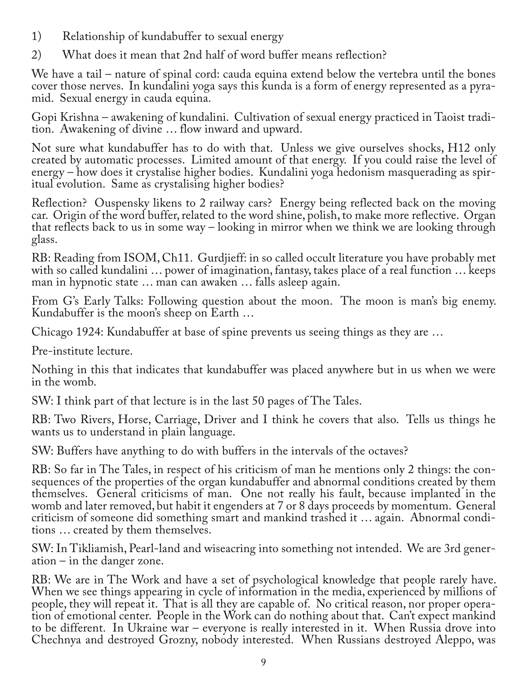- 1) Relationship of kundabuffer to sexual energy
- 2) What does it mean that 2nd half of word buffer means reflection?

We have a tail – nature of spinal cord: cauda equina extend below the vertebra until the bones cover those nerves. In kundalini yoga says this kunda is a form of energy represented as a pyramid. Sexual energy in cauda equina.

Gopi Krishna – awakening of kundalini. Cultivation of sexual energy practiced in Taoist tradi‐ tion. Awakening of divine … flow inward and upward.

Not sure what kundabuffer has to do with that. Unless we give ourselves shocks, H12 only created by automatic processes. Limited amount of that energy. If you could raise the level of energy – how does it crystalise higher bodies. Kundalini yoga hedonism masquerading as spiritual evolution. Same as crystalising higher bodies?

Reflection? Ouspensky likens to 2 railway cars? Energy being reflected back on the moving car. Origin of the word buffer, related to the word shine, polish, to make more reflective. Organ that reflects back to us in some way – looking in mirror when we think we are looking through glass.

RB: Reading from ISOM, Ch11. Gurdjieff: in so called occult literature you have probably met with so called kundalini … power of imagination, fantasy, takes place of a real function … keeps man in hypnotic state … man can awaken … falls asleep again.

From G's Early Talks: Following question about the moon. The moon is man's big enemy. Kundabuffer is the moon's sheep on Earth …

Chicago 1924: Kundabuffer at base of spine prevents us seeing things as they are …

Pre-institute lecture.

Nothing in this that indicates that kundabuffer was placed anywhere but in us when we were in the womb.

SW: I think part of that lecture is in the last 50 pages of The Tales.

RB: Two Rivers, Horse, Carriage, Driver and I think he covers that also. Tells us things he wants us to understand in plain language.

SW: Buffers have anything to do with buffers in the intervals of the octaves?

RB: So far in The Tales, in respect of his criticism of man he mentions only 2 things: the con‐ sequences of the properties of the organ kundabuffer and abnormal conditions created by them themselves. General criticisms of man. One not really his fault, because implanted in the womb and later removed, but habit it engenders at 7 or 8 days proceeds by momentum. General criticism of someone did something smart and mankind trashed it … again. Abnormal condi‐ tions … created by them themselves.

SW: In Tikliamish, Pearl-land and wiseacring into something not intended. We are 3rd gener‐ ation – in the danger zone.

RB: We are in The Work and have a set of psychological knowledge that people rarely have. When we see things appearing in cycle of information in the media, experienced by millions of people, they will repeat it. That is all they are capable of. No critical reason, nor proper operation of emotional center. People in the Work can do nothing about that. Can't expect mankind to be different. In Ukraine war – everyone is really interested in it. When Russia drove into Chechnya and destroyed Grozny, nobody interested. When Russians destroyed Aleppo, was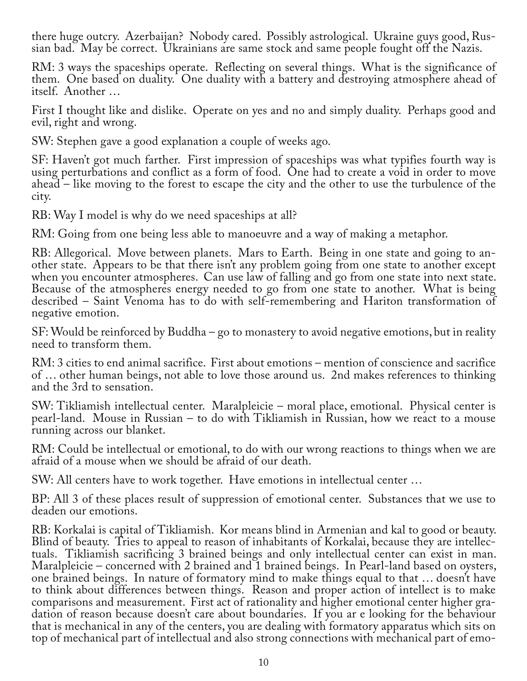there huge outcry. Azerbaijan? Nobody cared. Possibly astrological. Ukraine guys good, Rus‐ sian bad. May be correct. Ukrainians are same stock and same people fought off the Nazis.

RM: 3 ways the spaceships operate. Reflecting on several things. What is the significance of them. One based on duality. One duality with a battery and destroying atmosphere ahead of itself. Another …

First I thought like and dislike. Operate on yes and no and simply duality. Perhaps good and evil, right and wrong.

SW: Stephen gave a good explanation a couple of weeks ago.

SF: Haven't got much farther. First impression of spaceships was what typifies fourth way is using perturbations and conflict as a form of food. One had to create a void in order to move ahead – like moving to the forest to escape the city and the other to use the turbulence of the city.

RB: Way I model is why do we need spaceships at all?

RM: Going from one being less able to manoeuvre and a way of making a metaphor.

RB: Allegorical. Move between planets. Mars to Earth. Being in one state and going to another state. Appears to be that there isn't any problem going from one state to another except when you encounter atmospheres. Can use law of falling and go from one state into next state. Because of the atmospheres energy needed to go from one state to another. What is being described – Saint Venoma has to do with self-remembering and Hariton transformation of negative emotion.

SF: Would be reinforced by Buddha – go to monastery to avoid negative emotions, but in reality need to transform them.

RM: 3 cities to end animal sacrifice. First about emotions – mention of conscience and sacrifice of … other human beings, not able to love those around us. 2nd makes references to thinking and the 3rd to sensation.

SW: Tikliamish intellectual center. Maralpleicie – moral place, emotional. Physical center is pearl-land. Mouse in Russian – to do with Tikliamish in Russian, how we react to a mouse running across our blanket.

RM: Could be intellectual or emotional, to do with our wrong reactions to things when we are afraid of a mouse when we should be afraid of our death.

SW: All centers have to work together. Have emotions in intellectual center …

BP: All 3 of these places result of suppression of emotional center. Substances that we use to deaden our emotions.

RB: Korkalai is capital of Tikliamish. Kor means blind in Armenian and kal to good or beauty. Blind of beauty. Tries to appeal to reason of inhabitants of Korkalai, because they are intellec‐ tuals. Tikliamish sacrificing 3 brained beings and only intellectual center can exist in man. Maralpleicie – concerned with 2 brained and 1 brained beings. In Pearl-land based on oysters, one brained beings. In nature of formatory mind to make things equal to that … doesn't have to think about differences between things. Reason and proper action of intellect is to make comparisons and measurement. First act of rationality and higher emotional center higher gradation of reason because doesn't care about boundaries. If you ar e looking for the behaviour that is mechanical in any of the centers, you are dealing with formatory apparatus which sits on top of mechanical part of intellectual and also strong connections with mechanical part of emo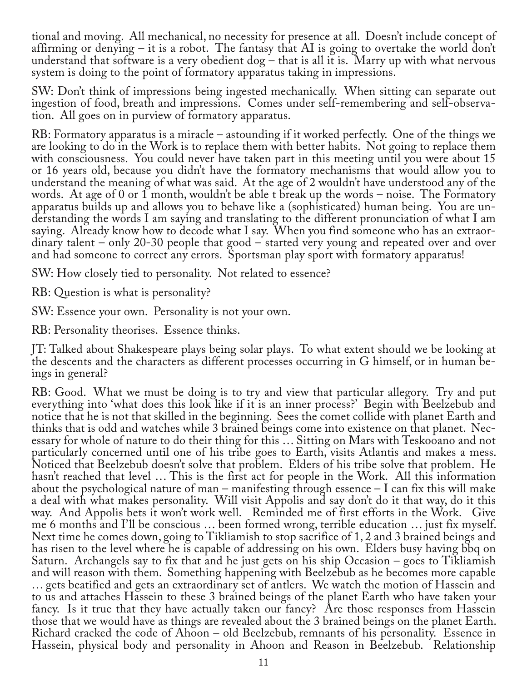tional and moving. All mechanical, no necessity for presence at all. Doesn't include concept of affirming or denying – it is a robot. The fantasy that AI is going to overtake the world don't understand that software is a very obedient  $\log -$  that is all it is. Marry up with what nervous system is doing to the point of formatory apparatus taking in impressions.

SW: Don't think of impressions being ingested mechanically. When sitting can separate out ingestion of food, breath and impressions. Comes under self-remembering and self-observation. All goes on in purview of formatory apparatus.

RB: Formatory apparatus is a miracle – astounding if it worked perfectly. One of the things we are looking to do in the Work is to replace them with better habits. Not going to replace them with consciousness. You could never have taken part in this meeting until you were about 15 or 16 years old, because you didn't have the formatory mechanisms that would allow you to understand the meaning of what was said. At the age of 2 wouldn't have understood any of the words. At age of 0 or 1 month, wouldn't be able t break up the words – noise. The Formatory apparatus builds up and allows you to behave like a (sophisticated) human being. You are un‐ derstanding the words I am saying and translating to the different pronunciation of what I am saying. Already know how to decode what I say. When you find someone who has an extraordinary talent – only 20-30 people that good – started very young and repeated over and over and had someone to correct any errors. Sportsman play sport with formatory apparatus!

SW: How closely tied to personality. Not related to essence?

RB: Question is what is personality?

SW: Essence your own. Personality is not your own.

RB: Personality theorises. Essence thinks.

JT: Talked about Shakespeare plays being solar plays. To what extent should we be looking at the descents and the characters as different processes occurring in G himself, or in human be‐ ings in general?

RB: Good. What we must be doing is to try and view that particular allegory. Try and put everything into 'what does this look like if it is an inner process?' Begin with Beelzebub and notice that he is not that skilled in the beginning. Sees the comet collide with planet Earth and thinks that is odd and watches while 3 brained beings come into existence on that planet. Necessary for whole of nature to do their thing for this ... Sitting on Mars with Teskooano and not particularly concerned until one of his tribe goes to Earth, visits Atlantis and makes a mess. Noticed that Beelzebub doesn't solve that problem. Elders of his tribe solve that problem. He hasn't reached that level … This is the first act for people in the Work. All this information about the psychological nature of man – manifesting through essence  $-I$  can fix this will make a deal with what makes personality. Will visit Appolis and say don't do it that way, do it this way. And Appolis bets it won't work well. Reminded me of first efforts in the Work. Give me 6 months and I'll be conscious … been formed wrong, terrible education … just fix myself. Next time he comes down, going to Tikliamish to stop sacrifice of 1, 2 and 3 brained beings and has risen to the level where he is capable of addressing on his own. Elders busy having bbq on Saturn. Archangels say to fix that and he just gets on his ship Occasion – goes to Tikliamish and will reason with them. Something happening with Beelzebub as he becomes more capable … gets beatified and gets an extraordinary set of antlers. We watch the motion of Hassein and to us and attaches Hassein to these 3 brained beings of the planet Earth who have taken your fancy. Is it true that they have actually taken our fancy? Are those responses from Hassein those that we would have as things are revealed about the 3 brained beings on the planet Earth. Richard cracked the code of Ahoon – old Beelzebub, remnants of his personality. Essence in Hassein, physical body and personality in Ahoon and Reason in Beelzebub. Relationship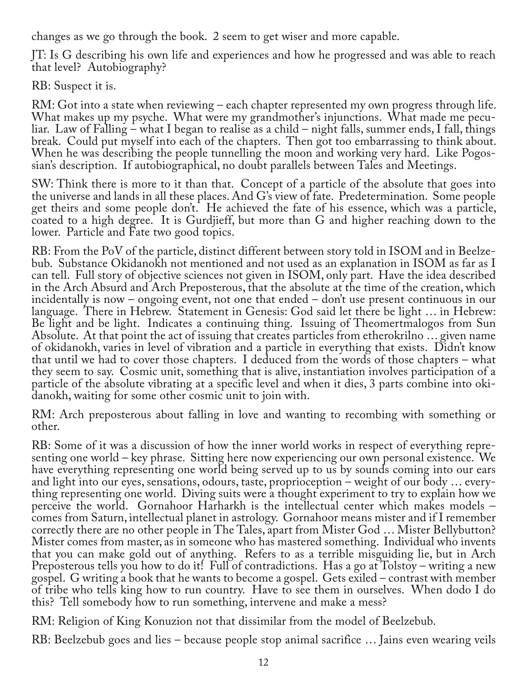changes as we go through the book. 2 seem to get wiser and more capable.

JT: Is G describing his own life and experiences and how he progressed and was able to reach that level? Autobiography?

RB: Suspect it is.

RM: Got into a state when reviewing – each chapter represented my own progress through life. What makes up my psyche. What were my grandmother's injunctions. What made me peculiar. Law of Falling – what I began to realise as a child – night falls, summer ends, I fall, things break. Could put myself into each of the chapters. Then got too embarrassing to think about. When he was describing the people tunnelling the moon and working very hard. Like Pogossian's description. If autobiographical, no doubt parallels between Tales and Meetings.

SW: Think there is more to it than that. Concept of a particle of the absolute that goes into the universe and lands in all these places. And G's view of fate. Predetermination. Some people get theirs and some people don't. He achieved the fate of his essence, which was a particle, coated to a high degree. It is Gurdjieff, but more than G and higher reaching down to the lower. Particle and Fate two good topics.

RB: From the PoV of the particle, distinct different between story told in ISOM and in Beelzebub. Substance Okidanokh not mentioned and not used as an explanation in ISOM as far as I can tell. Full story of objective sciences not given in ISOM, only part. Have the idea described in the Arch Absurd and Arch Preposterous, that the absolute at the time of the creation, which incidentally is now – ongoing event, not one that ended – don't use present continuous in our language. There in Hebrew. Statement in Genesis: God said let there be light … in Hebrew: Be light and be light. Indicates a continuing thing. Issuing of Theomertmalogos from Sun Absolute. At that point the act of issuing that creates particles from etherokrilno … given name of okidanokh, varies in level of vibration and a particle in everything that exists. Didn't know that until we had to cover those chapters. I deduced from the words of those chapters – what they seem to say. Cosmic unit, something that is alive, instantiation involves participation of a particle of the absolute vibrating at a specific level and when it dies, 3 parts combine into okidanokh, waiting for some other cosmic unit to join with.

RM: Arch preposterous about falling in love and wanting to recombing with something or other.

RB: Some of it was a discussion of how the inner world works in respect of everything repre‐ senting one world – key phrase. Sitting here now experiencing our own personal existence. We have everything representing one world being served up to us by sounds coming into our ears<br>and light into our eyes, sensations, odours, taste, proprioception – weight of our body ... everything representing one world. Diving suits were a thought experiment to try to explain how we perceive the world. Gornahoor Harharkh is the intellectual center which makes models – comes from Saturn, intellectual planet in astrology. Gornahoor means mister and if I remember correctly there are no other people in The Tales, apart from Mister God … Mister Bellybutton? Mister comes from master, as in someone who has mastered something. Individual who invents that you can make gold out of anything. Refers to as a terrible misguiding lie, but in Arch Preposterous tells you how to do it! Full of contradictions. Has a go at Tolstoy – writing a new gospel. G writing a book that he wants to become a gospel. Gets exiled – contrast with member of tribe who tells king how to run country. Have to see them in ourselves. When dodo I do this? Tell somebody how to run something, intervene and make a mess?

RM: Religion of King Konuzion not that dissimilar from the model of Beelzebub.

RB: Beelzebub goes and lies – because people stop animal sacrifice … Jains even wearing veils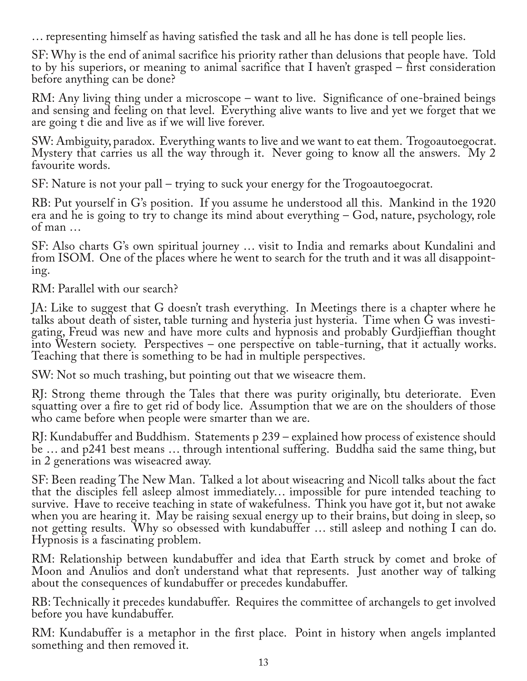… representing himself as having satisfied the task and all he has done is tell people lies.

SF: Why is the end of animal sacrifice his priority rather than delusions that people have. Told to by his superiors, or meaning to animal sacrifice that I haven't grasped – first consideration before anything can be done?

RM: Any living thing under a microscope – want to live. Significance of one-brained beings and sensing and feeling on that level. Everything alive wants to live and yet we forget that we are going t die and live as if we will live forever.

SW: Ambiguity, paradox. Everything wants to live and we want to eat them. Trogoautoegocrat. Mystery that carries us all the way through it. Never going to know all the answers. My 2 favourite words.

SF: Nature is not your pall – trying to suck your energy for the Trogoautoegocrat.

RB: Put yourself in G's position. If you assume he understood all this. Mankind in the 1920 era and he is going to try to change its mind about everything – God, nature, psychology, role of man …

SF: Also charts G's own spiritual journey … visit to India and remarks about Kundalini and from ISOM. One of the places where he went to search for the truth and it was all disappoint‐ ing.

RM: Parallel with our search?

JA: Like to suggest that G doesn't trash everything. In Meetings there is a chapter where he talks about death of sister, table turning and hysteria just hysteria. Time when G was investi‐ gating, Freud was new and have more cults and hypnosis and probably Gurdjieffian thought into Western society. Perspectives – one perspective on table-turning, that it actually works. Teaching that there is something to be had in multiple perspectives.

SW: Not so much trashing, but pointing out that we wiseacre them.

RJ: Strong theme through the Tales that there was purity originally, btu deteriorate. Even squatting over a fire to get rid of body lice. Assumption that we are on the shoulders of those who came before when people were smarter than we are.

RJ: Kundabuffer and Buddhism. Statements p 239 – explained how process of existence should be … and p241 best means … through intentional suffering. Buddha said the same thing, but in 2 generations was wiseacred away.

SF: Been reading The New Man. Talked a lot about wiseacring and Nicoll talks about the fact that the disciples fell asleep almost immediately… impossible for pure intended teaching to survive. Have to receive teaching in state of wakefulness. Think you have got it, but not awake when you are hearing it. May be raising sexual energy up to their brains, but doing in sleep, so not getting results. Why so obsessed with kundabuffer … still asleep and nothing I can do. Hypnosis is a fascinating problem.

RM: Relationship between kundabuffer and idea that Earth struck by comet and broke of Moon and Anulios and don't understand what that represents. Just another way of talking about the consequences of kundabuffer or precedes kundabuffer.

RB: Technically it precedes kundabuffer. Requires the committee of archangels to get involved before you have kundabuffer.

RM: Kundabuffer is a metaphor in the first place. Point in history when angels implanted something and then removed it.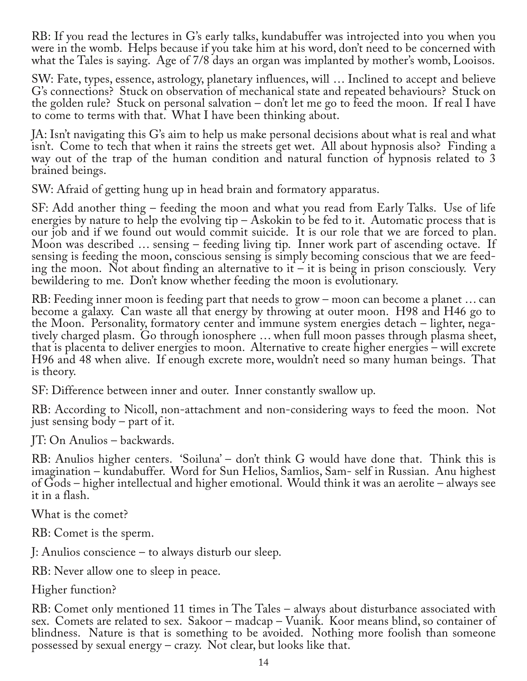RB: If you read the lectures in G's early talks, kundabuffer was introjected into you when you were in the womb. Helps because if you take him at his word, don't need to be concerned with what the Tales is saying. Age of 7/8 days an organ was implanted by mother's womb, Looisos.

SW: Fate, types, essence, astrology, planetary influences, will … Inclined to accept and believe G's connections? Stuck on observation of mechanical state and repeated behaviours? Stuck on the golden rule? Stuck on personal salvation – don't let me go to feed the moon. If real I have to come to terms with that. What I have been thinking about.

JA: Isn't navigating this G's aim to help us make personal decisions about what is real and what isn't. Come to tech that when it rains the streets get wet. All about hypnosis also? Finding a way out of the trap of the human condition and natural function of hypnosis related to 3 brained beings.

SW: Afraid of getting hung up in head brain and formatory apparatus.

SF: Add another thing – feeding the moon and what you read from Early Talks. Use of life energies by nature to help the evolving tip – Askokin to be fed to it. Automatic process that is our job and if we found out would commit suicide. It is our role that we are forced to plan. Moon was described … sensing – feeding living tip. Inner work part of ascending octave. If sensing is feeding the moon, conscious sensing is simply becoming conscious that we are feed‐ ing the moon. Not about finding an alternative to it – it is being in prison consciously. Very bewildering to me. Don't know whether feeding the moon is evolutionary.

RB: Feeding inner moon is feeding part that needs to grow – moon can become a planet … can become a galaxy. Can waste all that energy by throwing at outer moon. H98 and H46 go to the Moon. Personality, formatory center and immune system energies detach – lighter, negatively charged plasm. Go through ionosphere … when full moon passes through plasma sheet, that is placenta to deliver energies to moon. Alternative to create higher energies – will excrete H96 and 48 when alive. If enough excrete more, wouldn't need so many human beings. That is theory.

SF: Difference between inner and outer. Inner constantly swallow up.

RB: According to Nicoll, non-attachment and non-considering ways to feed the moon. Not just sensing body – part of it.

JT: On Anulios – backwards.

RB: Anulios higher centers. 'Soiluna' – don't think G would have done that. Think this is imagination – kundabuffer. Word for Sun Helios, Samlios, Sam- self in Russian. Anu highest of Gods – higher intellectual and higher emotional. Would think it was an aerolite – always see it in a flash.

What is the comet?

RB: Comet is the sperm.

J: Anulios conscience – to always disturb our sleep.

RB: Never allow one to sleep in peace.

Higher function?

RB: Comet only mentioned 11 times in The Tales – always about disturbance associated with sex. Comets are related to sex. Sakoor – madcap – Vuanik. Koor means blind, so container of blindness. Nature is that is something to be avoided. Nothing more foolish than someone possessed by sexual energy – crazy. Not clear, but looks like that.